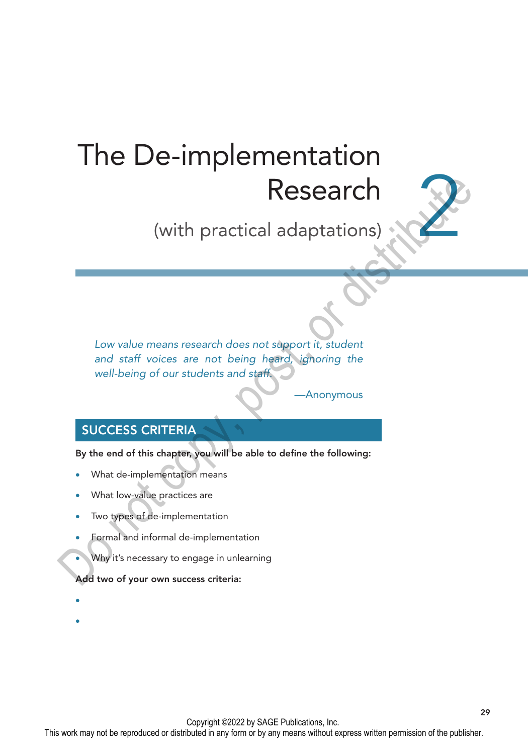# The De-implementation Research

(with practical adaptations)

Low value means research does not support it, student *and staff voices are not being heard, ignoring the well-being of our students and staff.* **Examplement (Second Accord Accord Accord Accord Accord Accord Accord Accord Accord Accord Accord Accord Accord Accord Accord Accord Accord Accord Accord Accord Accord Accord Accord Accord Accord Accord Accord Accord Accor** 

#### **Anonymous**

29

2

## SUCCESS CRITERIA

By the end of this chapter, you will be able to define the following:

- What de-implementation means
- What low-value practices are
- Two types of de-implementation
- Formal and informal de-implementation
- Why it's necessary to engage in unlearning

#### Add two of your own success criteria:

- •
- •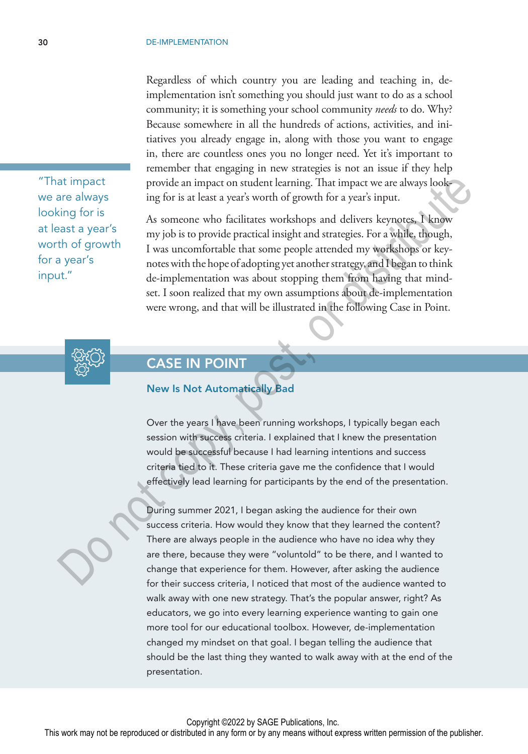Regardless of which country you are leading and teaching in, deimplementation isn't something you should just want to do as a school community; it is something your school community *needs* to do. Why? Because somewhere in all the hundreds of actions, activities, and initiatives you already engage in, along with those you want to engage in, there are countless ones you no longer need. Yet it's important to remember that engaging in new strategies is not an issue if they help provide an impact on student learning. That impact we are always looking for is at least a year's worth of growth for a year's input.

As someone who facilitates workshops and delivers keynotes, I know my job is to provide practical insight and strategies. For a while, though, I was uncomfortable that some people attended my workshops or keynotes with the hope of adopting yet another strategy, and I began to think de-implementation was about stopping them from having that mindset. I soon realized that my own assumptions about de-implementation were wrong, and that will be illustrated in the following Case in Point. at impact on student learning. That impact we are always look<br>
ing for is at least a year's worth of growth for a year's input.<br>
As someone who ficilitates workshops and delivers keypnotes. J know<br>
ing for is<br>
any ipo is t



## CASE IN POINT

#### New Is Not Automatically Bad

Over the years I have been running workshops, I typically began each session with success criteria. I explained that I knew the presentation would be successful because I had learning intentions and success criteria tied to it. These criteria gave me the confidence that I would effectively lead learning for participants by the end of the presentation.

During summer 2021, I began asking the audience for their own success criteria. How would they know that they learned the content? There are always people in the audience who have no idea why they are there, because they were "voluntold" to be there, and I wanted to change that experience for them. However, after asking the audience for their success criteria, I noticed that most of the audience wanted to walk away with one new strategy. That's the popular answer, right? As educators, we go into every learning experience wanting to gain one more tool for our educational toolbox. However, de-implementation changed my mindset on that goal. I began telling the audience that should be the last thing they wanted to walk away with at the end of the presentation.

Copyright ©2022 by SAGE Publications, Inc.

worth of growth for a year's input."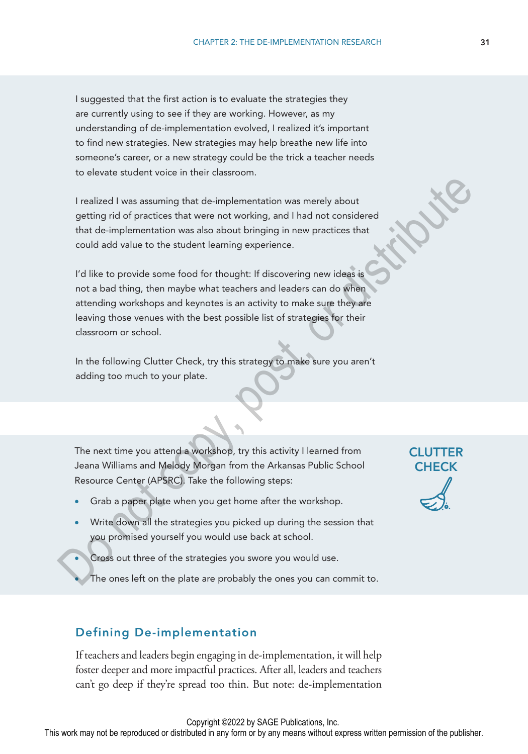I suggested that the first action is to evaluate the strategies they are currently using to see if they are working. However, as my understanding of de-implementation evolved, I realized it's important to find new strategies. New strategies may help breathe new life into someone's career, or a new strategy could be the trick a teacher needs to elevate student voice in their classroom.

I realized I was assuming that de-implementation was merely about getting rid of practices that were not working, and I had not considered that de-implementation was also about bringing in new practices that could add value to the student learning experience.

I'd like to provide some food for thought: If discovering new ideas is not a bad thing, then maybe what teachers and leaders can do when attending workshops and keynotes is an activity to make sure they are leaving those venues with the best possible list of strategies for their classroom or school. I realized I was assuming that de-implementation was merely about<br>
getting rid of practices that were not working, and I had not considered<br>
that de-implementation was also about bringing in new practices that<br>
could add v

In the following Clutter Check, try this strategy to make sure you aren't adding too much to your plate.

The next time you attend a workshop, try this activity I learned from Jeana Williams and Melody Morgan from the Arkansas Public School Resource Center (APSRC). Take the following steps:

- Grab a paper plate when you get home after the workshop.
- Write down all the strategies you picked up during the session that you promised yourself you would use back at school.
	- Cross out three of the strategies you swore you would use.
		- The ones left on the plate are probably the ones you can commit to.

#### Defining De-implementation

If teachers and leaders begin engaging in de-implementation, it will help foster deeper and more impactful practices. After all, leaders and teachers can't go deep if they're spread too thin. But note: de-implementation

This work may not be reproduced or distributed in any form or by any means without express written permission of the publisher.

## **CLUTTER CHECK**

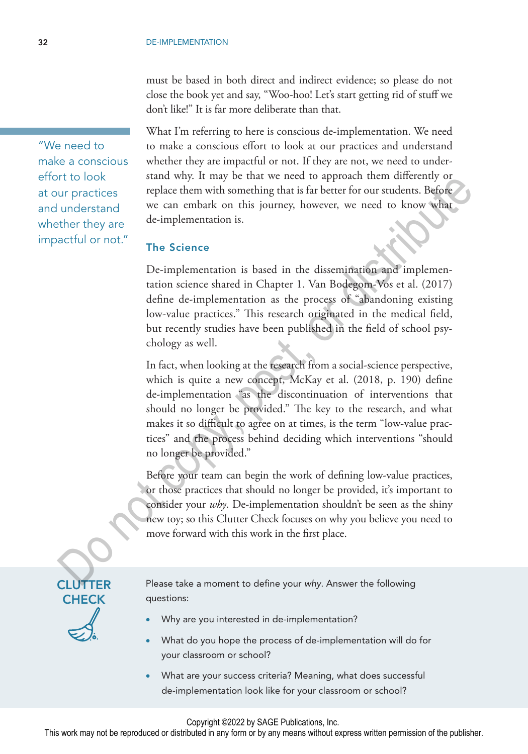must be based in both direct and indirect evidence; so please do not close the book yet and say, "Woo-hoo! Let's start getting rid of stuff we don't like!" It is far more deliberate than that.

What I'm referring to here is conscious de-implementation. We need to make a conscious effort to look at our practices and understand whether they are impactful or not. If they are not, we need to understand why. It may be that we need to approach them differently or replace them with something that is far better for our students. Before we can embark on this journey, however, we need to know what de-implementation is.

## The Science

De-implementation is based in the dissemination and implementation science shared in Chapter 1. Van Bodegom-Vos et al. (2017) define de-implementation as the process of "abandoning existing low-value practices." This research originated in the medical field, but recently studies have been published in the field of school psychology as well.

In fact, when looking at the research from a social-science perspective, which is quite a new concept, McKay et al. (2018, p. 190) define de-implementation "as the discontinuation of interventions that should no longer be provided." The key to the research, and what makes it so difficult to agree on at times, is the term "low-value practices" and the process behind deciding which interventions "should no longer be provided." The book<br>
vary, the may be take we need to approach them one<br>
strategy of the street of the street of the street of the street of<br>
the street of the street of the street of the street of the street<br>
there they are<br>
de-imp

Before your team can begin the work of defining low-value practices, or those practices that should no longer be provided, it's important to consider your *why*. De-implementation shouldn't be seen as the shiny new toy; so this Clutter Check focuses on why you believe you need to move forward with this work in the first place.

CLUTTER **CHECK** 

Please take a moment to define your *why*. Answer the following questions:

- Why are you interested in de-implementation?
- What do you hope the process of de-implementation will do for your classroom or school?
- What are your success criteria? Meaning, what does successful de-implementation look like for your classroom or school?

Copyright ©2022 by SAGE Publications, Inc.

This work may not be reproduced or distributed in any form or by any means without express written permission of the publisher.

"We need to make a conscious effort to look at our practices and understand whether they are impactful or not."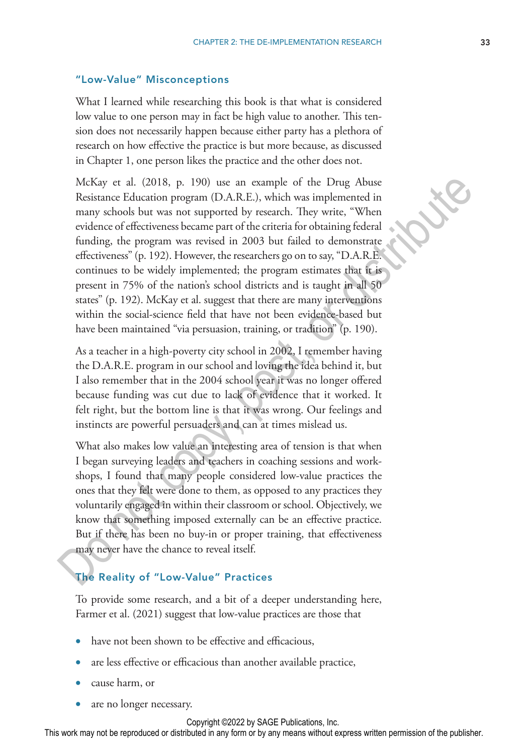#### "Low-Value" Misconceptions

What I learned while researching this book is that what is considered low value to one person may in fact be high value to another. This tension does not necessarily happen because either party has a plethora of research on how effective the practice is but more because, as discussed in Chapter 1, one person likes the practice and the other does not.

McKay et al. (2018, p. 190) use an example of the Drug Abuse Resistance Education program (D.A.R.E.), which was implemented in many schools but was not supported by research. They write, "When evidence of effectiveness became part of the criteria for obtaining federal funding, the program was revised in 2003 but failed to demonstrate effectiveness" (p. 192). However, the researchers go on to say, "D.A.R.E. continues to be widely implemented; the program estimates that it is present in 75% of the nation's school districts and is taught in all 50 states" (p. 192). McKay et al. suggest that there are many interventions within the social-science field that have not been evidence-based but have been maintained "via persuasion, training, or tradition" (p. 190). McKay et al. (2018, p. 190) use an example of the Drug Abuse<br>
Resistance Education program (D.A.R.E.), which was implemented in<br>
many schools but was not supported by research. They write, "When<br>
evidence of effectiveness

As a teacher in a high-poverty city school in 2002, I remember having the D.A.R.E. program in our school and loving the idea behind it, but I also remember that in the 2004 school year it was no longer offered because funding was cut due to lack of evidence that it worked. It felt right, but the bottom line is that it was wrong. Our feelings and instincts are powerful persuaders and can at times mislead us.

What also makes low value an interesting area of tension is that when I began surveying leaders and teachers in coaching sessions and workshops, I found that many people considered low-value practices the ones that they felt were done to them, as opposed to any practices they voluntarily engaged in within their classroom or school. Objectively, we know that something imposed externally can be an effective practice. But if there has been no buy-in or proper training, that effectiveness may never have the chance to reveal itself.

#### The Reality of "Low-Value" Practices

To provide some research, and a bit of a deeper understanding here, Farmer et al. (2021) suggest that low-value practices are those that

- have not been shown to be effective and efficacious,
- are less effective or efficacious than another available practice,
- cause harm, or
- are no longer necessary.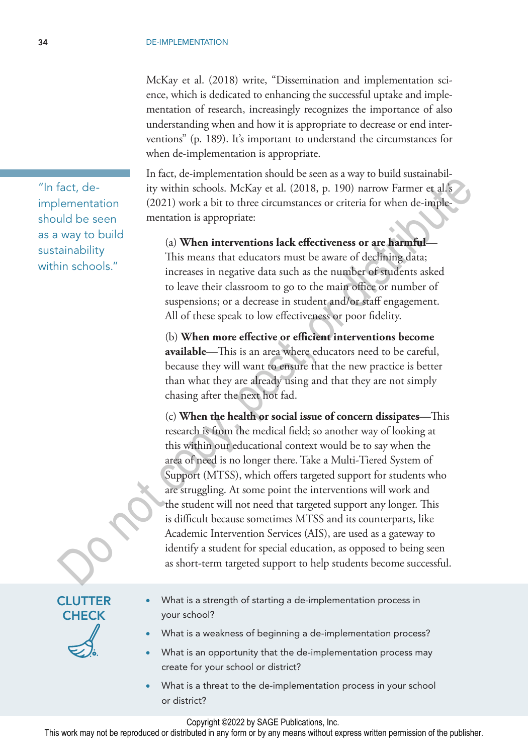McKay et al. (2018) write, "Dissemination and implementation science, which is dedicated to enhancing the successful uptake and implementation of research, increasingly recognizes the importance of also understanding when and how it is appropriate to decrease or end interventions" (p. 189). It's important to understand the circumstances for when de-implementation is appropriate.

In fact, de-implementation should be seen as a way to build sustainability within schools. McKay et al. (2018, p. 190) narrow Farmer et al.'s (2021) work a bit to three circumstances or criteria for when de-implementation is appropriate:

(a) **When interventions lack effectiveness or are harmful**— This means that educators must be aware of declining data; increases in negative data such as the number of students asked to leave their classroom to go to the main office or number of suspensions; or a decrease in student and/or staff engagement. All of these speak to low effectiveness or poor fidelity.

(b) **When more effective or efficient interventions become available**—This is an area where educators need to be careful, because they will want to ensure that the new practice is better than what they are already using and that they are not simply chasing after the next hot fad.

(c) **When the health or social issue of concern dissipates**—This research is from the medical field; so another way of looking at this within our educational context would be to say when the area of need is no longer there. Take a Multi-Tiered System of Support (MTSS), which offers targeted support for students who are struggling. At some point the interventions will work and the student will not need that targeted support any longer. This is difficult because sometimes MTSS and its counterparts, like Academic Intervention Services (AIS), are used as a gateway to identify a student for special education, as opposed to being seen as short-term targeted support to help students become successful. Fact, de-<br>
invistmin schools. McKay et al. (2018, p. 190) narrow Farmer et al.<br>
lementation (2021) work a bit to three circumstances or criteria for when de-imple-<br>
way to build<br>
way to build<br>
way to build<br>
(a) When inter

- What is a strength of starting a de-implementation process in your school?
- What is a weakness of beginning a de-implementation process?
- What is an opportunity that the de-implementation process may create for your school or district?
- What is a threat to the de-implementation process in your school or district?

Copyright ©2022 by SAGE Publications, Inc.

This work may not be reproduced or distributed in any form or by any means without express written permission of the publisher.

"In fact, deimplementation should be seen as a way to build sustainability within schools."

> CLUTTER **CHECK**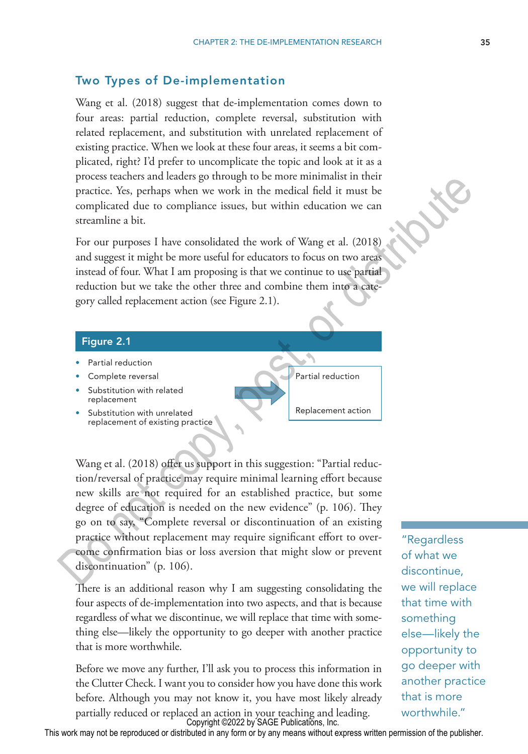#### Two Types of De-implementation

Wang et al. (2018) suggest that de-implementation comes down to four areas: partial reduction, complete reversal, substitution with related replacement, and substitution with unrelated replacement of existing practice. When we look at these four areas, it seems a bit complicated, right? I'd prefer to uncomplicate the topic and look at it as a process teachers and leaders go through to be more minimalist in their practice. Yes, perhaps when we work in the medical field it must be complicated due to compliance issues, but within education we can streamline a bit.

For our purposes I have consolidated the work of Wang et al. (2018) and suggest it might be more useful for educators to focus on two areas instead of four. What I am proposing is that we continue to use partial reduction but we take the other three and combine them into a category called replacement action (see Figure 2.1).

#### Figure 2.1

- Partial reduction
- Complete reversal
- Substitution with related replacement
- Substitution with unrelated replacement of existing practice

Wang et al. (2018) offer us support in this suggestion: "Partial reduction/reversal of practice may require minimal learning effort because new skills are not required for an established practice, but some degree of education is needed on the new evidence" (p. 106). They go on to say, "Complete reversal or discontinuation of an existing practice without replacement may require significant effort to overcome confirmation bias or loss aversion that might slow or prevent discontinuation" (p. 106). process teachers and teachers on the medium sate of the medium sate that there is proposed by a medium sate of the medical field it must be complicated due to compliance issues, but within education we can streamline a bit

There is an additional reason why I am suggesting consolidating the four aspects of de-implementation into two aspects, and that is because regardless of what we discontinue, we will replace that time with something else—likely the opportunity to go deeper with another practice that is more worthwhile.

Before we move any further, I'll ask you to process this information in the Clutter Check. I want you to consider how you have done this work before. Although you may not know it, you have most likely already partially reduced or replaced an action in your teaching and leading. Copyright ©2022 by SAGE Publications, Inc.

"Regardless of what we discontinue, we will replace something else—likely the opportunity to go deeper with another practice that is more worthwhile."

This work may not be reproduced or distributed in any form or by any means without express written permission of the publisher.

that time with

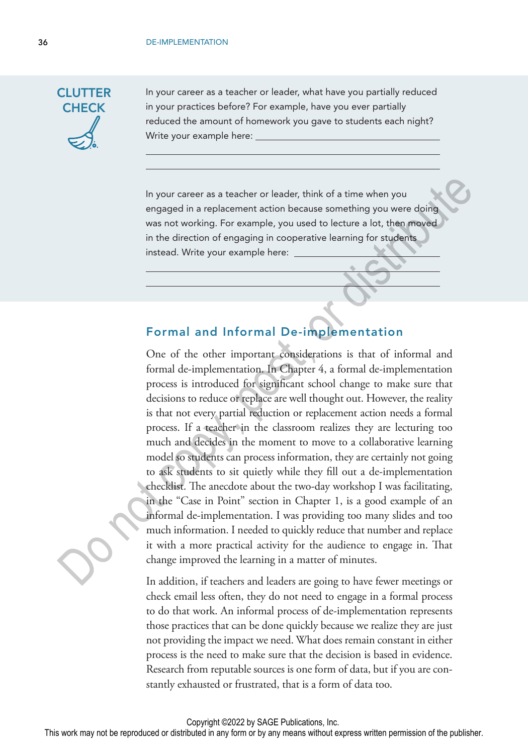

In your career as a teacher or leader, what have you partially reduced in your practices before? For example, have you ever partially reduced the amount of homework you gave to students each night? Write your example here:

In your career as a teacher or leader, think of a time when you engaged in a replacement action because something you were doing was not working. For example, you used to lecture a lot, then moved in the direction of engaging in cooperative learning for students instead. Write your example here:

## Formal and Informal De-implementation

One of the other important considerations is that of informal and formal de-implementation. In Chapter 4, a formal de-implementation process is introduced for significant school change to make sure that decisions to reduce or replace are well thought out. However, the reality is that not every partial reduction or replacement action needs a formal process. If a teacher in the classroom realizes they are lecturing too much and decides in the moment to move to a collaborative learning model so students can process information, they are certainly not going to ask students to sit quietly while they fill out a de-implementation checklist. The anecdote about the two-day workshop I was facilitating, in the "Case in Point" section in Chapter 1, is a good example of an informal de-implementation. I was providing too many slides and too much information. I needed to quickly reduce that number and replace it with a more practical activity for the audience to engage in. That change improved the learning in a matter of minutes. In your career as a teacher or leader, think of a time when you<br>
engaged in a replacement action because something you were doing<br>
was not vorking. For example, you used to lecture a lot, then moved<br>
in the direction of en

In addition, if teachers and leaders are going to have fewer meetings or check email less often, they do not need to engage in a formal process to do that work. An informal process of de-implementation represents those practices that can be done quickly because we realize they are just not providing the impact we need. What does remain constant in either process is the need to make sure that the decision is based in evidence. Research from reputable sources is one form of data, but if you are constantly exhausted or frustrated, that is a form of data too.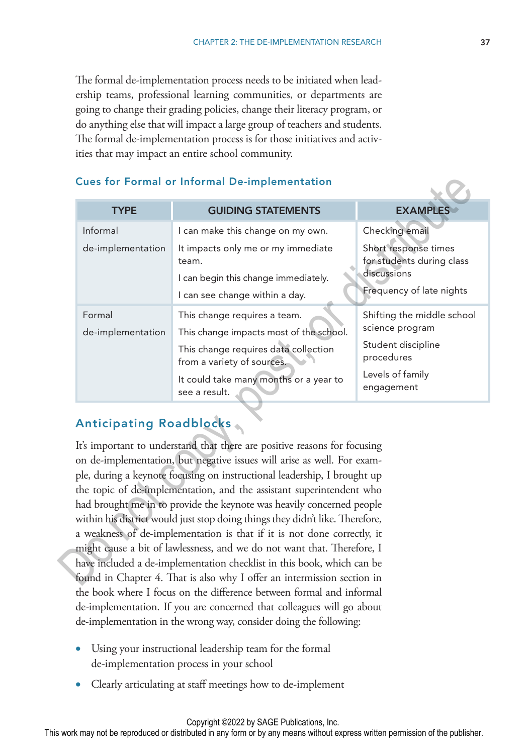The formal de-implementation process needs to be initiated when leadership teams, professional learning communities, or departments are going to change their grading policies, change their literacy program, or do anything else that will impact a large group of teachers and students. The formal de-implementation process is for those initiatives and activities that may impact an entire school community.

#### Cues for Formal or Informal De-implementation

| <b>Cues for Formal or Informal De-implementation</b>                    |                                                                                                                                                                                                                                                                                                                                                                                   |                                                   |
|-------------------------------------------------------------------------|-----------------------------------------------------------------------------------------------------------------------------------------------------------------------------------------------------------------------------------------------------------------------------------------------------------------------------------------------------------------------------------|---------------------------------------------------|
| <b>TYPE</b>                                                             | <b>GUIDING STATEMENTS</b>                                                                                                                                                                                                                                                                                                                                                         | <b>EXAMPLES</b>                                   |
| Informal                                                                | I can make this change on my own.                                                                                                                                                                                                                                                                                                                                                 | Checking email                                    |
| de-implementation                                                       | It impacts only me or my immediate<br>team.                                                                                                                                                                                                                                                                                                                                       | Short response times<br>for students during class |
|                                                                         | I can begin this change immediately.                                                                                                                                                                                                                                                                                                                                              | discussions                                       |
|                                                                         | I can see change within a day.                                                                                                                                                                                                                                                                                                                                                    | Frequency of late nights                          |
| Formal                                                                  | This change requires a team.                                                                                                                                                                                                                                                                                                                                                      | Shifting the middle school                        |
| de-implementation                                                       | This change impacts most of the school.                                                                                                                                                                                                                                                                                                                                           | science program                                   |
|                                                                         | This change requires data collection<br>from a variety of sources.                                                                                                                                                                                                                                                                                                                | Student discipline<br>procedures                  |
|                                                                         | It could take many months or a year to<br>see a result.                                                                                                                                                                                                                                                                                                                           | Levels of family<br>engagement                    |
| <b>Anticipating Roadblocks</b>                                          | It's important to understand that there are positive reasons for focusing<br>on de-implementation, but negative issues will arise as well. For exam-<br>ple, during a keynote focusing on instructional leadership, I brought up<br>the topic of de-implementation, and the assistant superintendent who<br>had brought me in to provide the keynote was heavily concerned people |                                                   |
|                                                                         | within his district would just stop doing things they didn't like. Therefore,                                                                                                                                                                                                                                                                                                     |                                                   |
|                                                                         | a weakness of de-implementation is that if it is not done correctly, it                                                                                                                                                                                                                                                                                                           |                                                   |
|                                                                         | might cause a bit of lawlessness, and we do not want that. Therefore, I                                                                                                                                                                                                                                                                                                           |                                                   |
| have included a de-implementation checklist in this book, which can be  |                                                                                                                                                                                                                                                                                                                                                                                   |                                                   |
| found in Chapter 4. That is also why I offer an intermission section in |                                                                                                                                                                                                                                                                                                                                                                                   |                                                   |

## Anticipating Roadblocks

It's important to understand that there are positive reasons for focusing on de-implementation, but negative issues will arise as well. For example, during a keynote focusing on instructional leadership, I brought up the topic of de-implementation, and the assistant superintendent who had brought me in to provide the keynote was heavily concerned people within his district would just stop doing things they didn't like. Therefore, a weakness of de-implementation is that if it is not done correctly, it might cause a bit of lawlessness, and we do not want that. Therefore, I have included a de-implementation checklist in this book, which can be found in Chapter 4. That is also why I offer an intermission section in the book where I focus on the difference between formal and informal de-implementation. If you are concerned that colleagues will go about de-implementation in the wrong way, consider doing the following:

- Using your instructional leadership team for the formal de-implementation process in your school
- Clearly articulating at staff meetings how to de-implement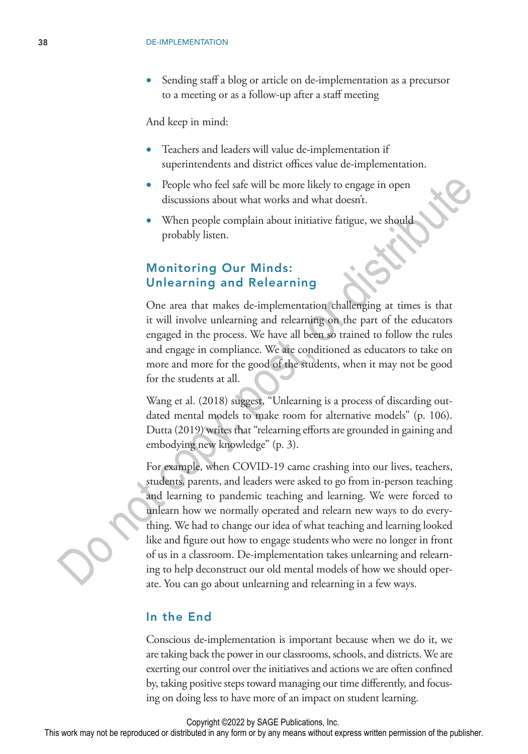Sending staff a blog or article on de-implementation as a precursor to a meeting or as a follow-up after a staff meeting

And keep in mind:

- Teachers and leaders will value de-implementation if superintendents and district offices value de-implementation.
- People who feel safe will be more likely to engage in open discussions about what works and what doesn't.
- When people complain about initiative fatigue, we should probably listen.

## Monitoring Our Minds: Unlearning and Relearning

One area that makes de-implementation challenging at times is that it will involve unlearning and relearning on the part of the educators engaged in the process. We have all been so trained to follow the rules and engage in compliance. We are conditioned as educators to take on more and more for the good of the students, when it may not be good for the students at all.

Wang et al. (2018) suggest, "Unlearning is a process of discarding outdated mental models to make room for alternative models" (p. 106). Dutta (2019) writes that "relearning efforts are grounded in gaining and embodying new knowledge" (p. 3).

For example, when COVID-19 came crashing into our lives, teachers, students, parents, and leaders were asked to go from in-person teaching and learning to pandemic teaching and learning. We were forced to unlearn how we normally operated and relearn new ways to do everything. We had to change our idea of what teaching and learning looked like and figure out how to engage students who were no longer in front of us in a classroom. De-implementation takes unlearning and relearning to help deconstruct our old mental models of how we should operate. You can go about unlearning and relearning in a few ways. • People who feel safe will be more likely to engage in open<br>discussions about what works and what doesn't.<br>
• When people complain about initiative farigue, we shauld<br>
probably listen.<br> **Monitoring Our Minds:**<br> **Die are** 

#### In the End

Conscious de-implementation is important because when we do it, we are taking back the power in our classrooms, schools, and districts. We are exerting our control over the initiatives and actions we are often confined by, taking positive steps toward managing our time differently, and focusing on doing less to have more of an impact on student learning.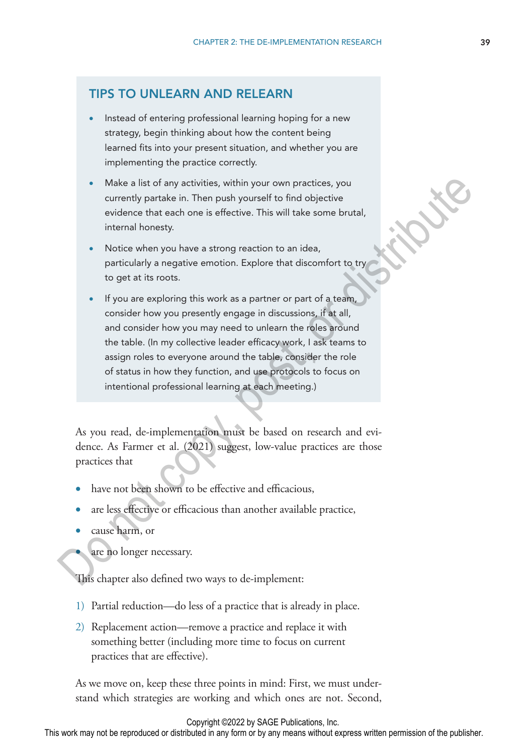## TIPS TO UNLEARN AND RELEARN

- Instead of entering professional learning hoping for a new strategy, begin thinking about how the content being learned fits into your present situation, and whether you are implementing the practice correctly.
- Make a list of any activities, within your own practices, you currently partake in. Then push yourself to find objective evidence that each one is effective. This will take some brutal, internal honesty.
- Notice when you have a strong reaction to an idea, particularly a negative emotion. Explore that discomfort to try to get at its roots.
- If you are exploring this work as a partner or part of a team, consider how you presently engage in discussions, if at all, and consider how you may need to unlearn the roles around the table. (In my collective leader efficacy work, I ask teams to assign roles to everyone around the table, consider the role of status in how they function, and use protocols to focus on intentional professional learning at each meeting.) • Make a list of any activities, within your own practices, you<br>currently partate in. Then push yourself to find objective<br>evidence that each one is effective. This will take some brutal,<br>internal honesty.<br>• Notice when yo

As you read, de-implementation must be based on research and evidence. As Farmer et al. (2021) suggest, low-value practices are those practices that

- have not been shown to be effective and efficacious,
- are less effective or efficacious than another available practice,
- cause harm, or
	- are no longer necessary.

This chapter also defined two ways to de-implement:

- 1) Partial reduction—do less of a practice that is already in place.
- 2) Replacement action—remove a practice and replace it with something better (including more time to focus on current practices that are effective).

As we move on, keep these three points in mind: First, we must understand which strategies are working and which ones are not. Second,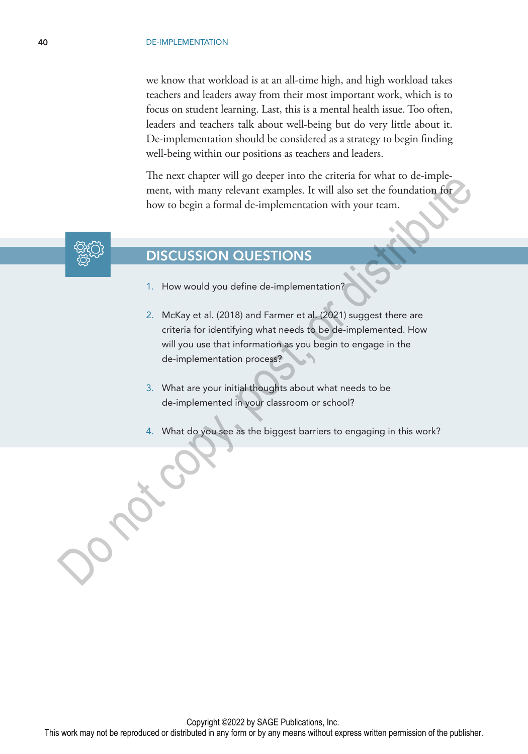we know that workload is at an all-time high, and high workload takes teachers and leaders away from their most important work, which is to focus on student learning. Last, this is a mental health issue. Too often, leaders and teachers talk about well-being but do very little about it. De-implementation should be considered as a strategy to begin finding well-being within our positions as teachers and leaders.

The next chapter will go deeper into the criteria for what to de-implement, with many relevant examples. It will also set the foundation for how to begin a formal de-implementation with your team.



## DISCUSSION QUESTIONS

- 1. How would you define de-implementation?
- 2. McKay et al. (2018) and Farmer et al. (2021) suggest there are criteria for identifying what needs to be de-implemented. How will you use that information as you begin to engage in the de-implementation process? ment culture music user the complete music that the bundation former than the complete music that the foundation of the bundation for the bundation formula de-implementation with your tream.<br>
DISCUSSION QUESTIONS<br>
1. How w
	- 3. What are your initial thoughts about what needs to be de-implemented in your classroom or school?
	- 4. What do you see as the biggest barriers to engaging in this work?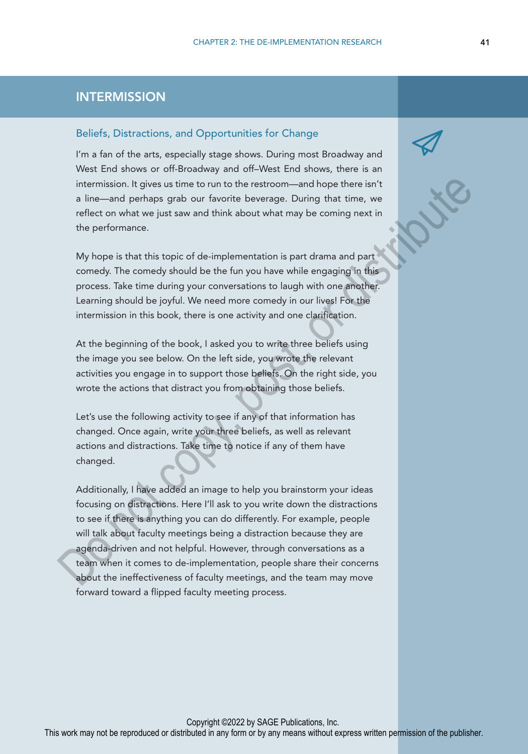## **INTERMISSION**

#### Beliefs, Distractions, and Opportunities for Change

I'm a fan of the arts, especially stage shows. During most Broadway and West End shows or off-Broadway and off–West End shows, there is an intermission. It gives us time to run to the restroom—and hope there isn't a line—and perhaps grab our favorite beverage. During that time, we reflect on what we just saw and think about what may be coming next in the performance.

My hope is that this topic of de-implementation is part drama and part comedy. The comedy should be the fun you have while engaging in this process. Take time during your conversations to laugh with one another. Learning should be joyful. We need more comedy in our lives! For the intermission in this book, there is one activity and one clarification.

At the beginning of the book, I asked you to write three beliefs using the image you see below. On the left side, you wrote the relevant activities you engage in to support those beliefs. On the right side, you wrote the actions that distract you from obtaining those beliefs.

Let's use the following activity to see if any of that information has changed. Once again, write your three beliefs, as well as relevant actions and distractions. Take time to notice if any of them have changed.

Additionally, I have added an image to help you brainstorm your ideas focusing on distractions. Here I'll ask to you write down the distractions to see if there is anything you can do differently. For example, people will talk about faculty meetings being a distraction because they are agenda-driven and not helpful. However, through conversations as a team when it comes to de-implementation, people share their concerns about the ineffectiveness of faculty meetings, and the team may move forward toward a flipped faculty meeting process. intermission. It gives us time to run to the restroom—and hope there isn't<br>a line—and perhaps grab our favorite beverage. During that time, we<br>effect on what we just saw and think about what may be coming next in<br>the perfo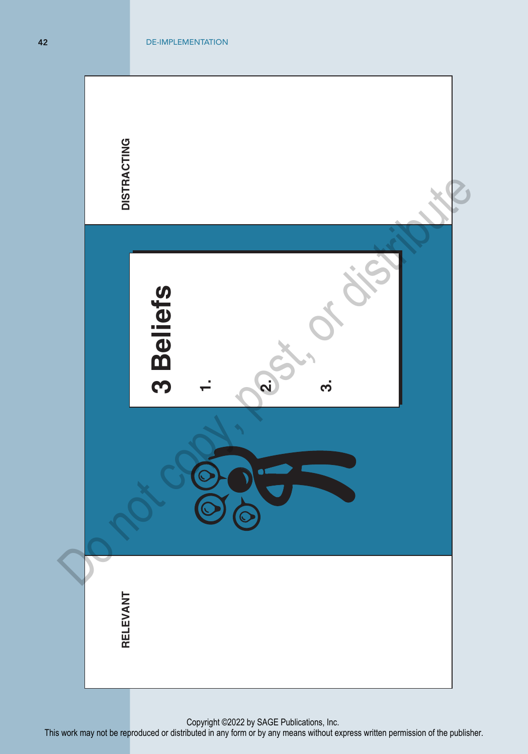

Copyright ©2022 by SAGE Publications, Inc.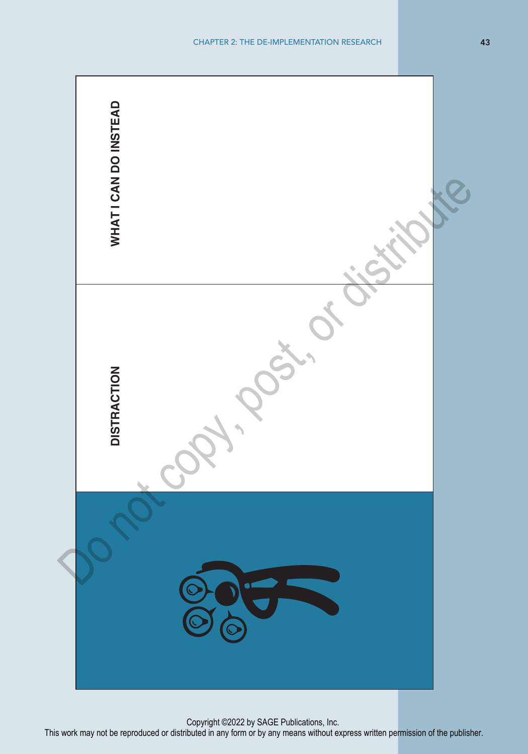

Copyright ©2022 by SAGE Publications, Inc.